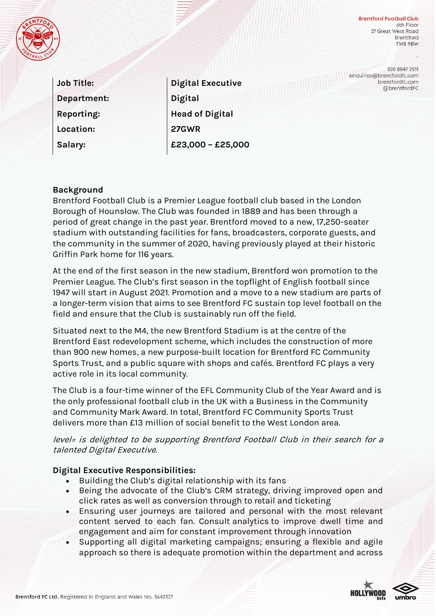

**Brentford Football Club** 6th Floor 27 Great West Road **Brentford TW8 9BW** 

**Job Title: Department: Reporting: Location: Salary:**

**Digital Executive Digital Head of Digital 27GWR £23,000 – £25,000**

020 8847 2511 enquiries@brentfordfc.com brentfordfc.com @brentfordFC

# **Background**

Brentford Football Club is a Premier League football club based in the London Borough of Hounslow. The Club was founded in 1889 and has been through a period of great change in the past year. Brentford moved to a new, 17,250-seater stadium with outstanding facilities for fans, broadcasters, corporate guests, and the community in the summer of 2020, having previously played at their historic Griffin Park home for 116 years.

At the end of the first season in the new stadium, Brentford won promotion to the Premier League. The Club's first season in the topflight of English football since 1947 will start in August 2021. Promotion and a move to a new stadium are parts of a longer-term vision that aims to see Brentford FC sustain top level football on the field and ensure that the Club is sustainably run off the field.

Situated next to the M4, the new Brentford Stadium is at the centre of the Brentford East redevelopment scheme, which includes the construction of more than 900 new homes, a new purpose-built location for Brentford FC Community Sports Trust, and a public square with shops and cafés. Brentford FC plays a very active role in its local community.

The Club is a four-time winner of the EFL Community Club of the Year Award and is the only professional football club in the UK with a Business in the Community and Community Mark Award. In total, Brentford FC Community Sports Trust delivers more than £13 million of social benefit to the West London area.

level= is delighted to be supporting Brentford Football Club in their search for a talented Digital Executive.

## **Digital Executive Responsibilities:**

- Building the Club's digital relationship with its fans
- Being the advocate of the Club's CRM strategy, driving improved open and click rates as well as conversion through to retail and ticketing
- Ensuring user journeys are tailored and personal with the most relevant content served to each fan. Consult analytics to improve dwell time and engagement and aim for constant improvement through innovation
- Supporting all digital marketing campaigns; ensuring a flexible and agile approach so there is adequate promotion within the department and across